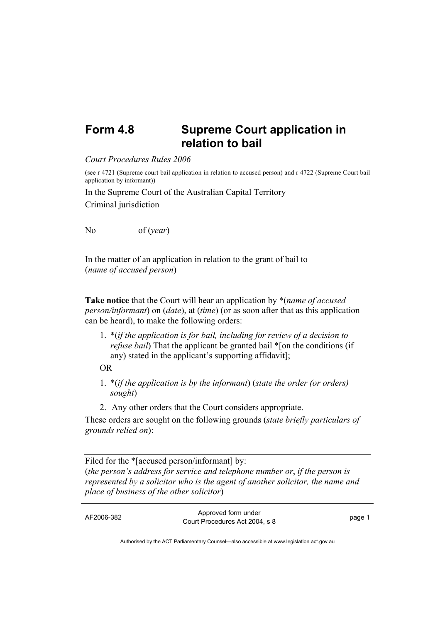## **Form 4.8 Supreme Court application in relation to bail**

*Court Procedures Rules 2006*

(see r 4721 (Supreme court bail application in relation to accused person) and r 4722 (Supreme Court bail application by informant))

In the Supreme Court of the Australian Capital Territory Criminal jurisdiction

No of (*year*)

In the matter of an application in relation to the grant of bail to (*name of accused person*)

**Take notice** that the Court will hear an application by \*(*name of accused person/informant*) on (*date*), at (*time*) (or as soon after that as this application can be heard), to make the following orders:

1. \*(*if the application is for bail, including for review of a decision to refuse bail*) That the applicant be granted bail \*[on the conditions (if any) stated in the applicant's supporting affidavit];

OR

- 1. \*(*if the application is by the informant*) (*state the order (or orders) sought*)
- 2. Any other orders that the Court considers appropriate.

These orders are sought on the following grounds (*state briefly particulars of grounds relied on*):

Filed for the \*[accused person/informant] by: (*the person's address for service and telephone number or*, *if the person is represented by a solicitor who is the agent of another solicitor, the name and place of business of the other solicitor*)

| AF2006-382 | Approved form under<br>Court Procedures Act 2004, s 8 | page 1 |
|------------|-------------------------------------------------------|--------|
|            |                                                       |        |

Authorised by the ACT Parliamentary Counsel—also accessible at www.legislation.act.gov.au